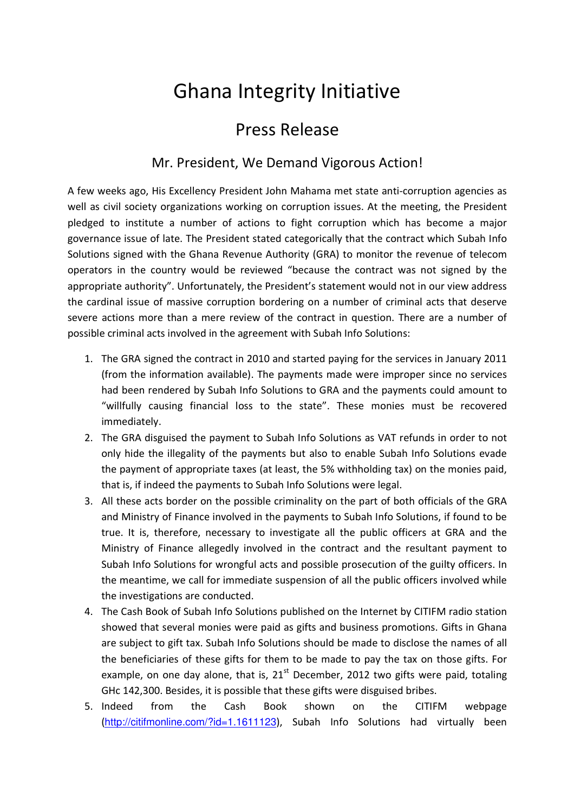## Ghana Integrity Initiative

## Press Release

## Mr. President, We Demand Vigorous Action!

A few weeks ago, His Excellency President John Mahama met state anti-corruption agencies as well as civil society organizations working on corruption issues. At the meeting, the President pledged to institute a number of actions to fight corruption which has become a major governance issue of late. The President stated categorically that the contract which Subah Info Solutions signed with the Ghana Revenue Authority (GRA) to monitor the revenue of telecom operators in the country would be reviewed "because the contract was not signed by the appropriate authority". Unfortunately, the President's statement would not in our view address the cardinal issue of massive corruption bordering on a number of criminal acts that deserve severe actions more than a mere review of the contract in question. There are a number of possible criminal acts involved in the agreement with Subah Info Solutions:

- 1. The GRA signed the contract in 2010 and started paying for the services in January 2011 (from the information available). The payments made were improper since no services had been rendered by Subah Info Solutions to GRA and the payments could amount to "willfully causing financial loss to the state". These monies must be recovered immediately.
- 2. The GRA disguised the payment to Subah Info Solutions as VAT refunds in order to not only hide the illegality of the payments but also to enable Subah Info Solutions evade the payment of appropriate taxes (at least, the 5% withholding tax) on the monies paid, that is, if indeed the payments to Subah Info Solutions were legal.
- 3. All these acts border on the possible criminality on the part of both officials of the GRA and Ministry of Finance involved in the payments to Subah Info Solutions, if found to be true. It is, therefore, necessary to investigate all the public officers at GRA and the Ministry of Finance allegedly involved in the contract and the resultant payment to Subah Info Solutions for wrongful acts and possible prosecution of the guilty officers. In the meantime, we call for immediate suspension of all the public officers involved while the investigations are conducted.
- 4. The Cash Book of Subah Info Solutions published on the Internet by CITIFM radio station showed that several monies were paid as gifts and business promotions. Gifts in Ghana are subject to gift tax. Subah Info Solutions should be made to disclose the names of all the beneficiaries of these gifts for them to be made to pay the tax on those gifts. For example, on one day alone, that is,  $21<sup>st</sup>$  December, 2012 two gifts were paid, totaling GHc 142,300. Besides, it is possible that these gifts were disguised bribes.
- 5. Indeed from the Cash Book shown on the CITIFM webpage (http://citifmonline.com/?id=1.1611123), Subah Info Solutions had virtually been